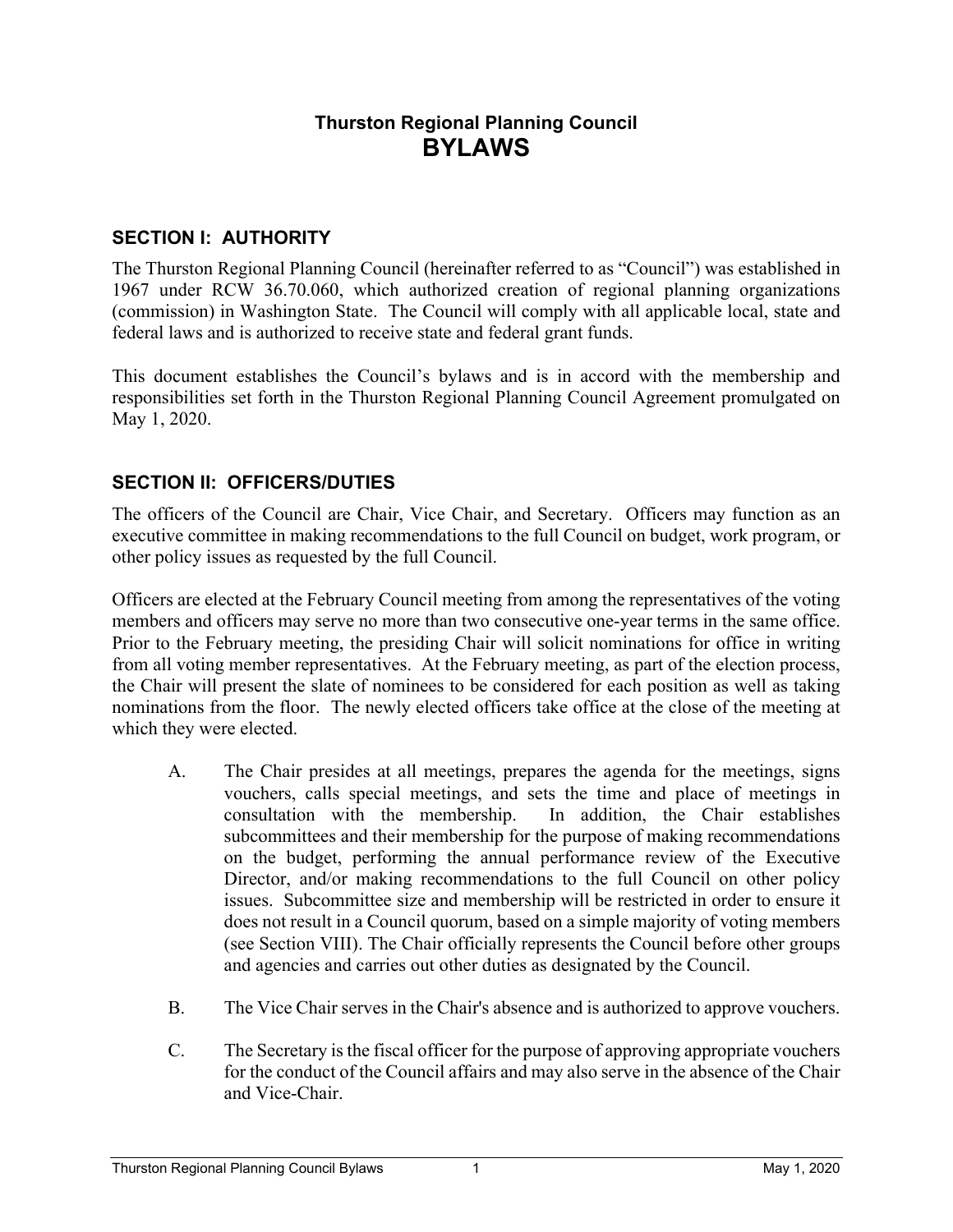# **Thurston Regional Planning Council BYLAWS**

### **SECTION I: AUTHORITY**

The Thurston Regional Planning Council (hereinafter referred to as "Council") was established in 1967 under RCW 36.70.060, which authorized creation of regional planning organizations (commission) in Washington State. The Council will comply with all applicable local, state and federal laws and is authorized to receive state and federal grant funds.

This document establishes the Council's bylaws and is in accord with the membership and responsibilities set forth in the Thurston Regional Planning Council Agreement promulgated on May 1, 2020.

### **SECTION II: OFFICERS/DUTIES**

The officers of the Council are Chair, Vice Chair, and Secretary. Officers may function as an executive committee in making recommendations to the full Council on budget, work program, or other policy issues as requested by the full Council.

Officers are elected at the February Council meeting from among the representatives of the voting members and officers may serve no more than two consecutive one-year terms in the same office. Prior to the February meeting, the presiding Chair will solicit nominations for office in writing from all voting member representatives. At the February meeting, as part of the election process, the Chair will present the slate of nominees to be considered for each position as well as taking nominations from the floor. The newly elected officers take office at the close of the meeting at which they were elected.

- A. The Chair presides at all meetings, prepares the agenda for the meetings, signs vouchers, calls special meetings, and sets the time and place of meetings in consultation with the membership. In addition, the Chair establishes subcommittees and their membership for the purpose of making recommendations on the budget, performing the annual performance review of the Executive Director, and/or making recommendations to the full Council on other policy issues. Subcommittee size and membership will be restricted in order to ensure it does not result in a Council quorum, based on a simple majority of voting members (see Section VIII). The Chair officially represents the Council before other groups and agencies and carries out other duties as designated by the Council.
- B. The Vice Chair serves in the Chair's absence and is authorized to approve vouchers.
- C. The Secretary is the fiscal officer for the purpose of approving appropriate vouchers for the conduct of the Council affairs and may also serve in the absence of the Chair and Vice-Chair.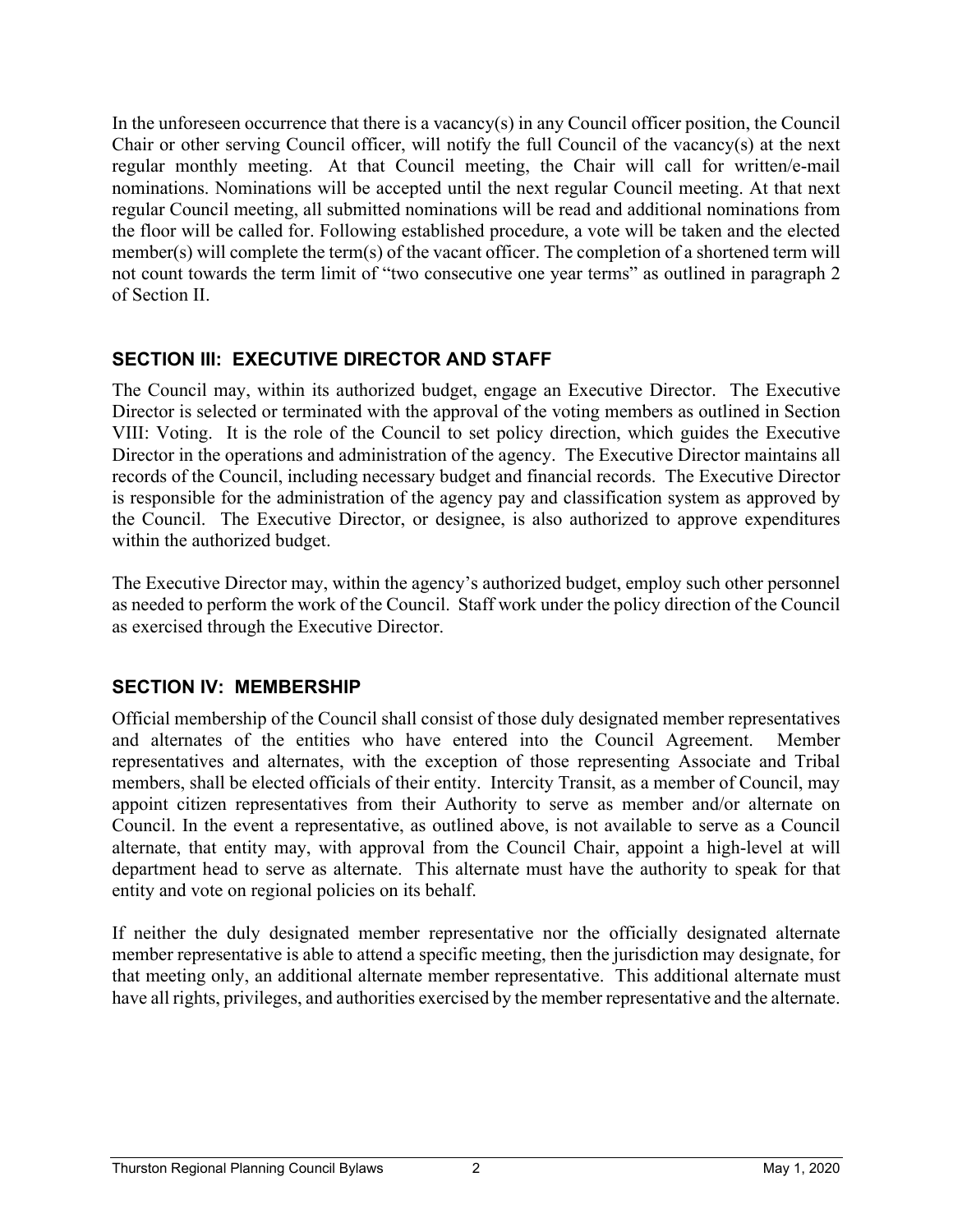In the unforeseen occurrence that there is a vacancy(s) in any Council officer position, the Council Chair or other serving Council officer, will notify the full Council of the vacancy(s) at the next regular monthly meeting. At that Council meeting, the Chair will call for written/e-mail nominations. Nominations will be accepted until the next regular Council meeting. At that next regular Council meeting, all submitted nominations will be read and additional nominations from the floor will be called for. Following established procedure, a vote will be taken and the elected member(s) will complete the term(s) of the vacant officer. The completion of a shortened term will not count towards the term limit of "two consecutive one year terms" as outlined in paragraph 2 of Section II.

## **SECTION III: EXECUTIVE DIRECTOR AND STAFF**

The Council may, within its authorized budget, engage an Executive Director. The Executive Director is selected or terminated with the approval of the voting members as outlined in Section VIII: Voting. It is the role of the Council to set policy direction, which guides the Executive Director in the operations and administration of the agency. The Executive Director maintains all records of the Council, including necessary budget and financial records. The Executive Director is responsible for the administration of the agency pay and classification system as approved by the Council. The Executive Director, or designee, is also authorized to approve expenditures within the authorized budget.

The Executive Director may, within the agency's authorized budget, employ such other personnel as needed to perform the work of the Council. Staff work under the policy direction of the Council as exercised through the Executive Director.

# **SECTION IV: MEMBERSHIP**

Official membership of the Council shall consist of those duly designated member representatives and alternates of the entities who have entered into the Council Agreement. Member representatives and alternates, with the exception of those representing Associate and Tribal members, shall be elected officials of their entity. Intercity Transit, as a member of Council, may appoint citizen representatives from their Authority to serve as member and/or alternate on Council. In the event a representative, as outlined above, is not available to serve as a Council alternate, that entity may, with approval from the Council Chair, appoint a high-level at will department head to serve as alternate. This alternate must have the authority to speak for that entity and vote on regional policies on its behalf.

If neither the duly designated member representative nor the officially designated alternate member representative is able to attend a specific meeting, then the jurisdiction may designate, for that meeting only, an additional alternate member representative. This additional alternate must have all rights, privileges, and authorities exercised by the member representative and the alternate.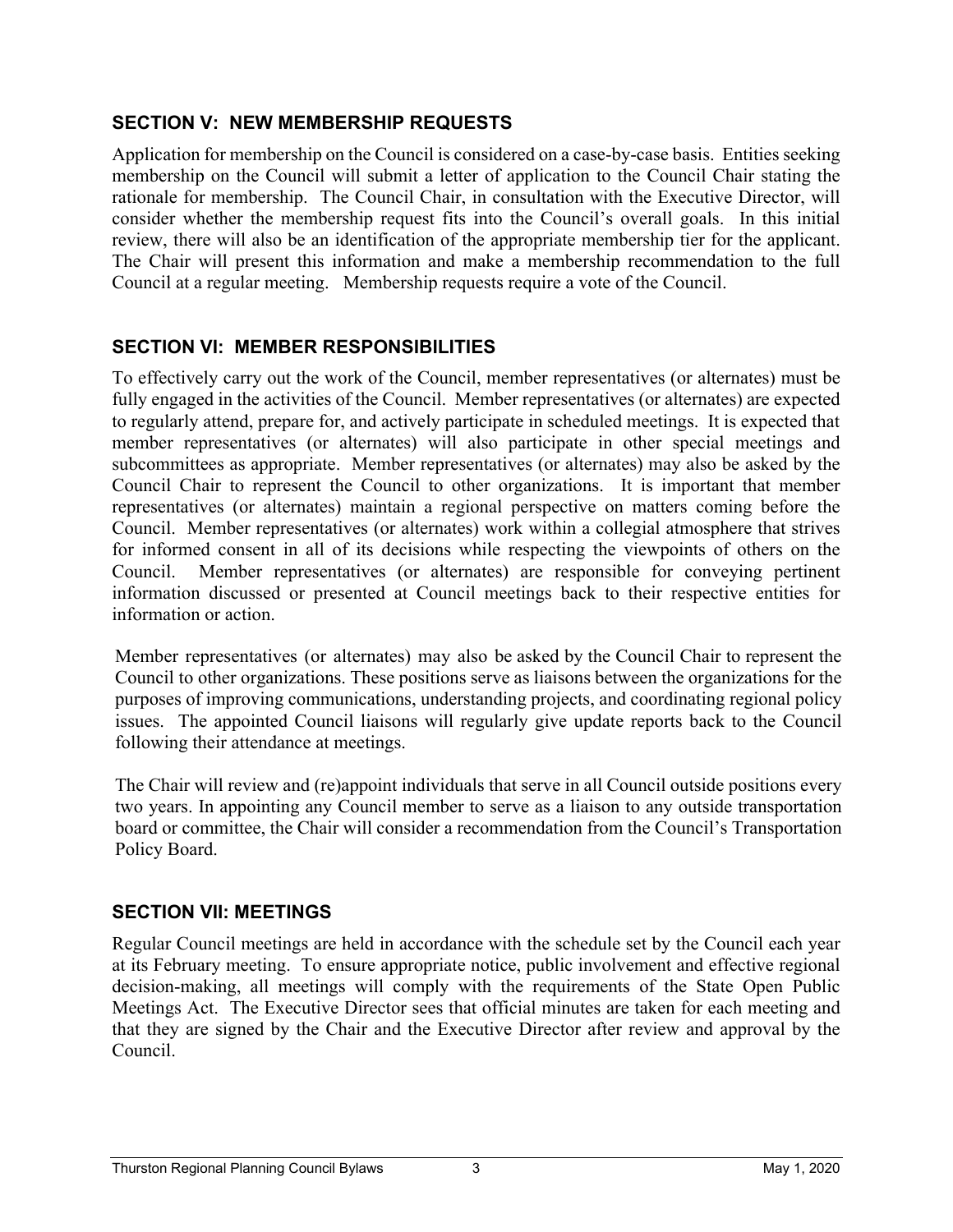### **SECTION V: NEW MEMBERSHIP REQUESTS**

Application for membership on the Council is considered on a case-by-case basis. Entities seeking membership on the Council will submit a letter of application to the Council Chair stating the rationale for membership. The Council Chair, in consultation with the Executive Director, will consider whether the membership request fits into the Council's overall goals. In this initial review, there will also be an identification of the appropriate membership tier for the applicant. The Chair will present this information and make a membership recommendation to the full Council at a regular meeting. Membership requests require a vote of the Council.

# **SECTION VI: MEMBER RESPONSIBILITIES**

To effectively carry out the work of the Council, member representatives (or alternates) must be fully engaged in the activities of the Council. Member representatives (or alternates) are expected to regularly attend, prepare for, and actively participate in scheduled meetings. It is expected that member representatives (or alternates) will also participate in other special meetings and subcommittees as appropriate. Member representatives (or alternates) may also be asked by the Council Chair to represent the Council to other organizations. It is important that member representatives (or alternates) maintain a regional perspective on matters coming before the Council. Member representatives (or alternates) work within a collegial atmosphere that strives for informed consent in all of its decisions while respecting the viewpoints of others on the Council. Member representatives (or alternates) are responsible for conveying pertinent information discussed or presented at Council meetings back to their respective entities for information or action.

Member representatives (or alternates) may also be asked by the Council Chair to represent the Council to other organizations. These positions serve as liaisons between the organizations for the purposes of improving communications, understanding projects, and coordinating regional policy issues. The appointed Council liaisons will regularly give update reports back to the Council following their attendance at meetings.

The Chair will review and (re)appoint individuals that serve in all Council outside positions every two years. In appointing any Council member to serve as a liaison to any outside transportation board or committee, the Chair will consider a recommendation from the Council's Transportation Policy Board.

### **SECTION VII: MEETINGS**

Regular Council meetings are held in accordance with the schedule set by the Council each year at its February meeting. To ensure appropriate notice, public involvement and effective regional decision-making, all meetings will comply with the requirements of the State Open Public Meetings Act. The Executive Director sees that official minutes are taken for each meeting and that they are signed by the Chair and the Executive Director after review and approval by the Council.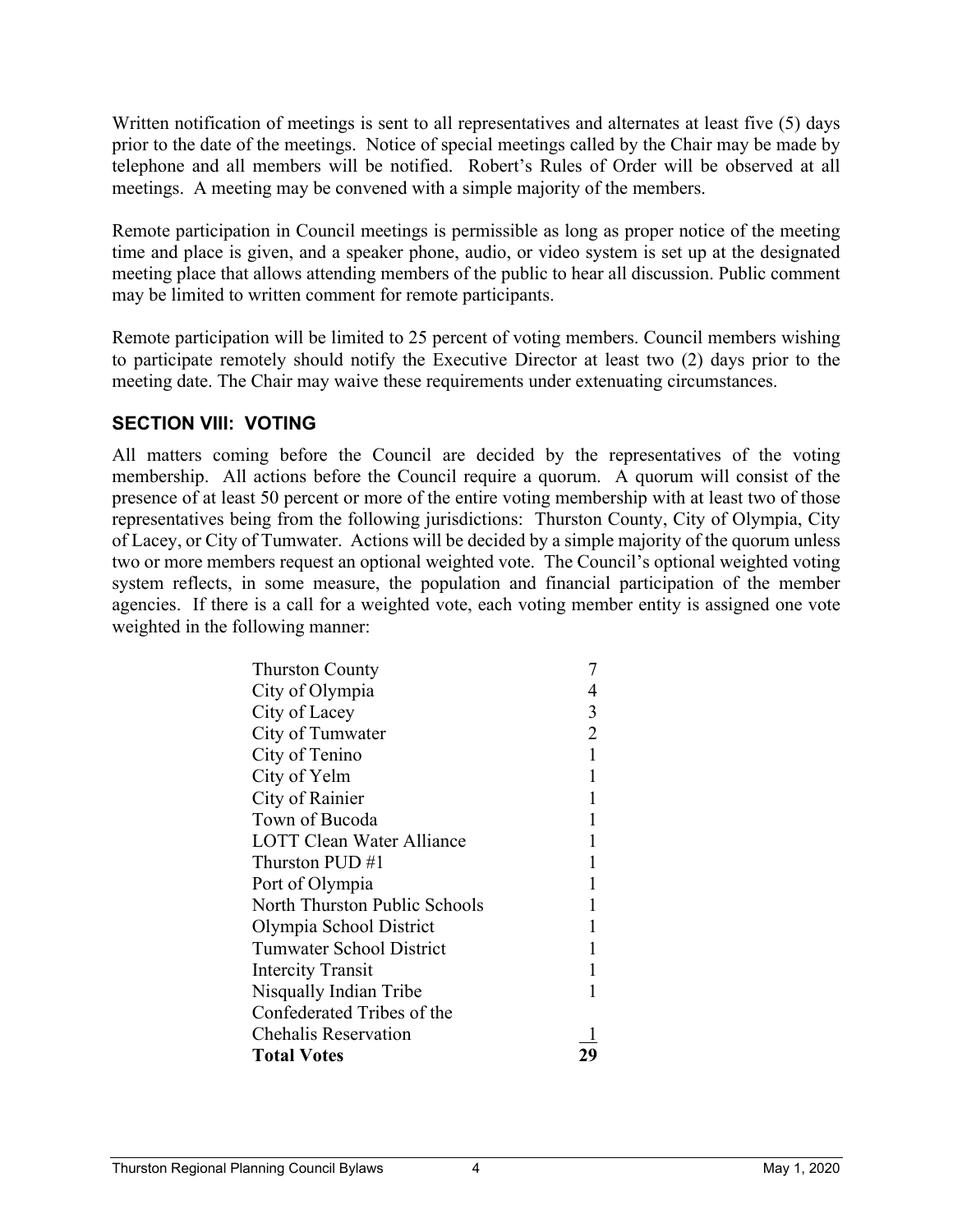Written notification of meetings is sent to all representatives and alternates at least five (5) days prior to the date of the meetings. Notice of special meetings called by the Chair may be made by telephone and all members will be notified. Robert's Rules of Order will be observed at all meetings. A meeting may be convened with a simple majority of the members.

Remote participation in Council meetings is permissible as long as proper notice of the meeting time and place is given, and a speaker phone, audio, or video system is set up at the designated meeting place that allows attending members of the public to hear all discussion. Public comment may be limited to written comment for remote participants.

Remote participation will be limited to 25 percent of voting members. Council members wishing to participate remotely should notify the Executive Director at least two (2) days prior to the meeting date. The Chair may waive these requirements under extenuating circumstances.

#### **SECTION VIII: VOTING**

All matters coming before the Council are decided by the representatives of the voting membership. All actions before the Council require a quorum. A quorum will consist of the presence of at least 50 percent or more of the entire voting membership with at least two of those representatives being from the following jurisdictions: Thurston County, City of Olympia, City of Lacey, or City of Tumwater. Actions will be decided by a simple majority of the quorum unless two or more members request an optional weighted vote. The Council's optional weighted voting system reflects, in some measure, the population and financial participation of the member agencies. If there is a call for a weighted vote, each voting member entity is assigned one vote weighted in the following manner:

| <b>Thurston County</b>           |   |
|----------------------------------|---|
| City of Olympia                  |   |
| City of Lacey                    | 3 |
| City of Tumwater                 |   |
| City of Tenino                   |   |
| City of Yelm                     |   |
| City of Rainier                  |   |
| Town of Bucoda                   |   |
| <b>LOTT Clean Water Alliance</b> |   |
| Thurston PUD #1                  |   |
| Port of Olympia                  |   |
| North Thurston Public Schools    |   |
| Olympia School District          |   |
| <b>Tumwater School District</b>  |   |
| <b>Intercity Transit</b>         |   |
| Nisqually Indian Tribe           |   |
| Confederated Tribes of the       |   |
| <b>Chehalis Reservation</b>      |   |
| <b>Total Votes</b>               |   |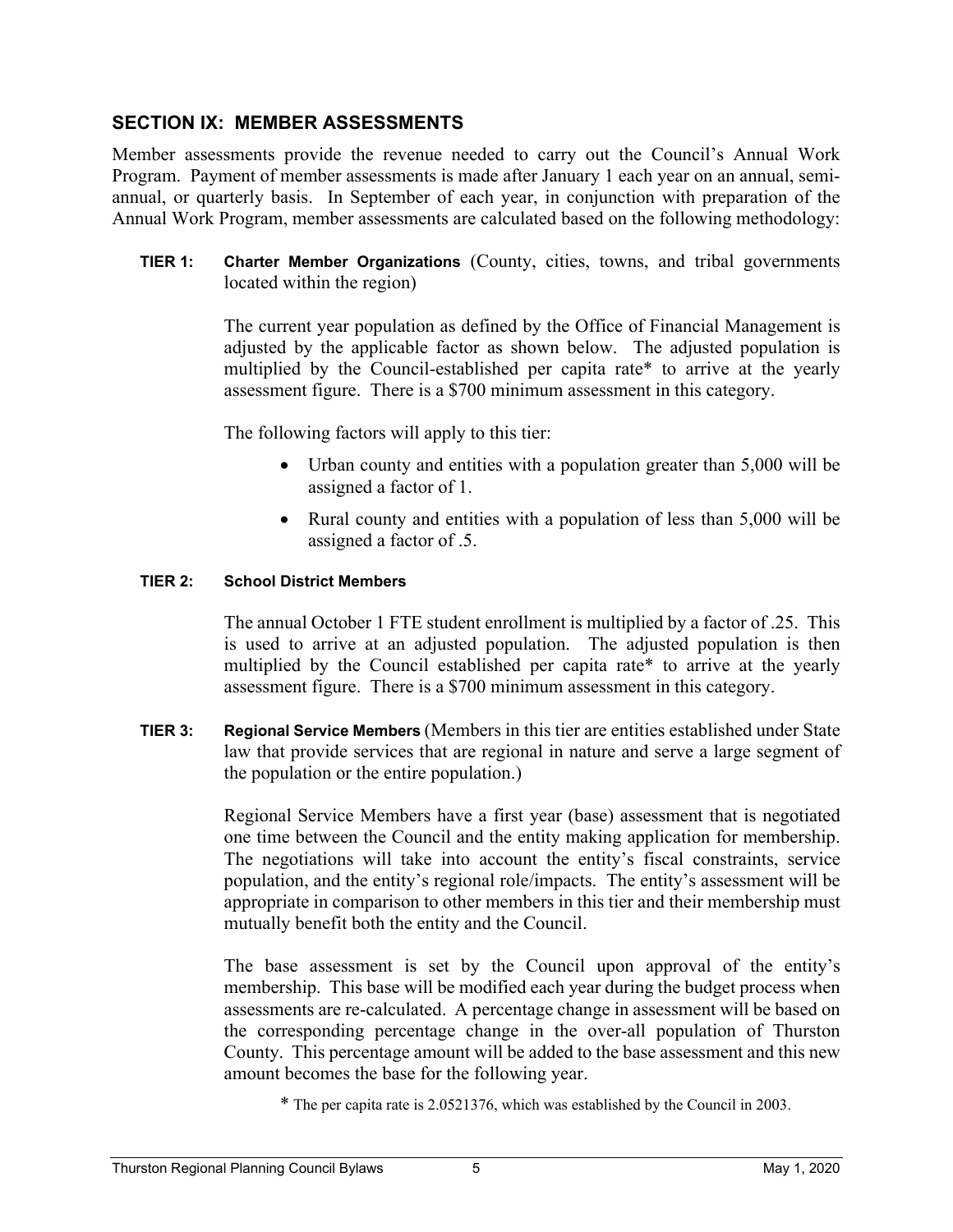#### **SECTION IX: MEMBER ASSESSMENTS**

Member assessments provide the revenue needed to carry out the Council's Annual Work Program. Payment of member assessments is made after January 1 each year on an annual, semiannual, or quarterly basis. In September of each year, in conjunction with preparation of the Annual Work Program, member assessments are calculated based on the following methodology:

 **TIER 1: Charter Member Organizations** (County, cities, towns, and tribal governments located within the region)

> The current year population as defined by the Office of Financial Management is adjusted by the applicable factor as shown below. The adjusted population is multiplied by the Council-established per capita rate\* to arrive at the yearly assessment figure. There is a \$700 minimum assessment in this category.

The following factors will apply to this tier:

- Urban county and entities with a population greater than 5,000 will be assigned a factor of 1.
- Rural county and entities with a population of less than 5,000 will be assigned a factor of .5.

#### **TIER 2: School District Members**

The annual October 1 FTE student enrollment is multiplied by a factor of .25. This is used to arrive at an adjusted population. The adjusted population is then multiplied by the Council established per capita rate\* to arrive at the yearly assessment figure. There is a \$700 minimum assessment in this category.

 **TIER 3: Regional Service Members** (Members in this tier are entities established under State law that provide services that are regional in nature and serve a large segment of the population or the entire population.)

> Regional Service Members have a first year (base) assessment that is negotiated one time between the Council and the entity making application for membership. The negotiations will take into account the entity's fiscal constraints, service population, and the entity's regional role/impacts. The entity's assessment will be appropriate in comparison to other members in this tier and their membership must mutually benefit both the entity and the Council.

> The base assessment is set by the Council upon approval of the entity's membership. This base will be modified each year during the budget process when assessments are re-calculated. A percentage change in assessment will be based on the corresponding percentage change in the over-all population of Thurston County. This percentage amount will be added to the base assessment and this new amount becomes the base for the following year.

\* The per capita rate is 2.0521376, which was established by the Council in 2003.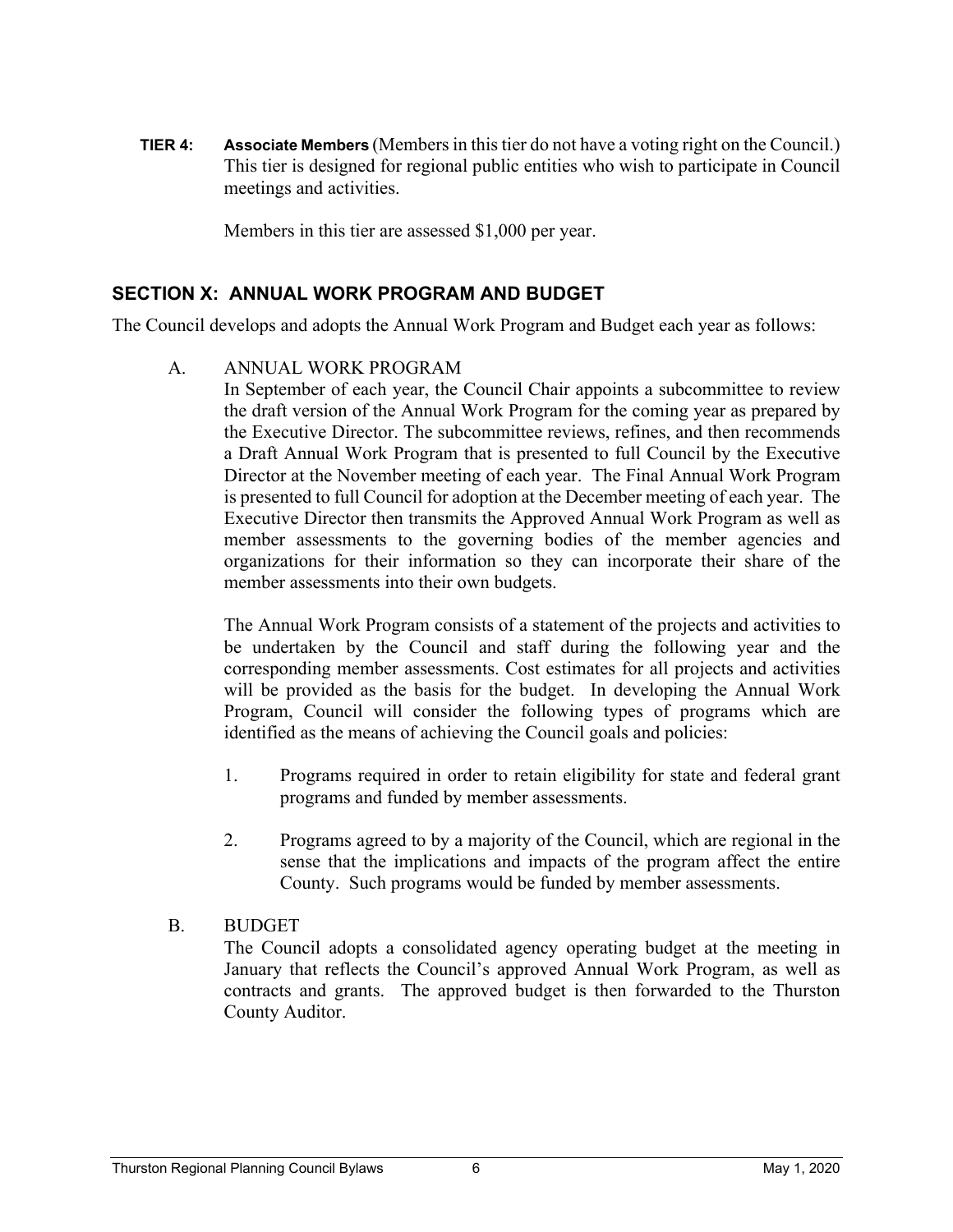**TIER 4: Associate Members** (Members in this tier do not have a voting right on the Council.) This tier is designed for regional public entities who wish to participate in Council meetings and activities.

Members in this tier are assessed \$1,000 per year.

#### **SECTION X: ANNUAL WORK PROGRAM AND BUDGET**

The Council develops and adopts the Annual Work Program and Budget each year as follows:

A. ANNUAL WORK PROGRAM

 In September of each year, the Council Chair appoints a subcommittee to review the draft version of the Annual Work Program for the coming year as prepared by the Executive Director. The subcommittee reviews, refines, and then recommends a Draft Annual Work Program that is presented to full Council by the Executive Director at the November meeting of each year. The Final Annual Work Program is presented to full Council for adoption at the December meeting of each year. The Executive Director then transmits the Approved Annual Work Program as well as member assessments to the governing bodies of the member agencies and organizations for their information so they can incorporate their share of the member assessments into their own budgets.

The Annual Work Program consists of a statement of the projects and activities to be undertaken by the Council and staff during the following year and the corresponding member assessments. Cost estimates for all projects and activities will be provided as the basis for the budget. In developing the Annual Work Program, Council will consider the following types of programs which are identified as the means of achieving the Council goals and policies:

- 1. Programs required in order to retain eligibility for state and federal grant programs and funded by member assessments.
- 2. Programs agreed to by a majority of the Council, which are regional in the sense that the implications and impacts of the program affect the entire County. Such programs would be funded by member assessments.
- B. BUDGET

 The Council adopts a consolidated agency operating budget at the meeting in January that reflects the Council's approved Annual Work Program, as well as contracts and grants. The approved budget is then forwarded to the Thurston County Auditor.